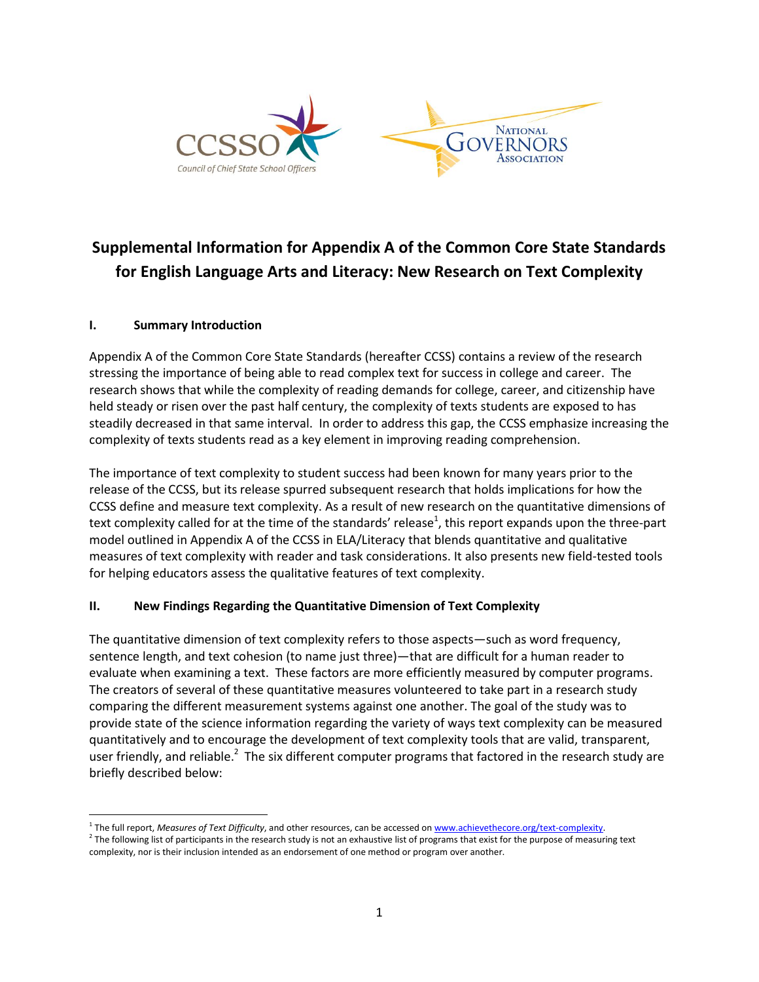

# **Supplemental Information for Appendix A of the Common Core State Standards for English Language Arts and Literacy: New Research on Text Complexity**

## **I. Summary Introduction**

l

Appendix A of the Common Core State Standards (hereafter CCSS) contains a review of the research stressing the importance of being able to read complex text for success in college and career. The research shows that while the complexity of reading demands for college, career, and citizenship have held steady or risen over the past half century, the complexity of texts students are exposed to has steadily decreased in that same interval. In order to address this gap, the CCSS emphasize increasing the complexity of texts students read as a key element in improving reading comprehension.

The importance of text complexity to student success had been known for many years prior to the release of the CCSS, but its release spurred subsequent research that holds implications for how the CCSS define and measure text complexity. As a result of new research on the quantitative dimensions of text complexity called for at the time of the standards' release<sup>1</sup>, this report expands upon the three-part model outlined in Appendix A of the CCSS in ELA/Literacy that blends quantitative and qualitative measures of text complexity with reader and task considerations. It also presents new field-tested tools for helping educators assess the qualitative features of text complexity.

## **II. New Findings Regarding the Quantitative Dimension of Text Complexity**

The quantitative dimension of text complexity refers to those aspects—such as word frequency, sentence length, and text cohesion (to name just three)—that are difficult for a human reader to evaluate when examining a text. These factors are more efficiently measured by computer programs. The creators of several of these quantitative measures volunteered to take part in a research study comparing the different measurement systems against one another. The goal of the study was to provide state of the science information regarding the variety of ways text complexity can be measured quantitatively and to encourage the development of text complexity tools that are valid, transparent, user friendly, and reliable.<sup>2</sup> The six different computer programs that factored in the research study are briefly described below:

<sup>&</sup>lt;sup>1</sup> The full report, *Measures of Text Difficulty*, and other resources, can be accessed o[n www.achievethecore.org/](http://www.achievethecore.org/)text-complexity.

 $^2$  The following list of participants in the research study is not an exhaustive list of programs that exist for the purpose of measuring text complexity, nor is their inclusion intended as an endorsement of one method or program over another.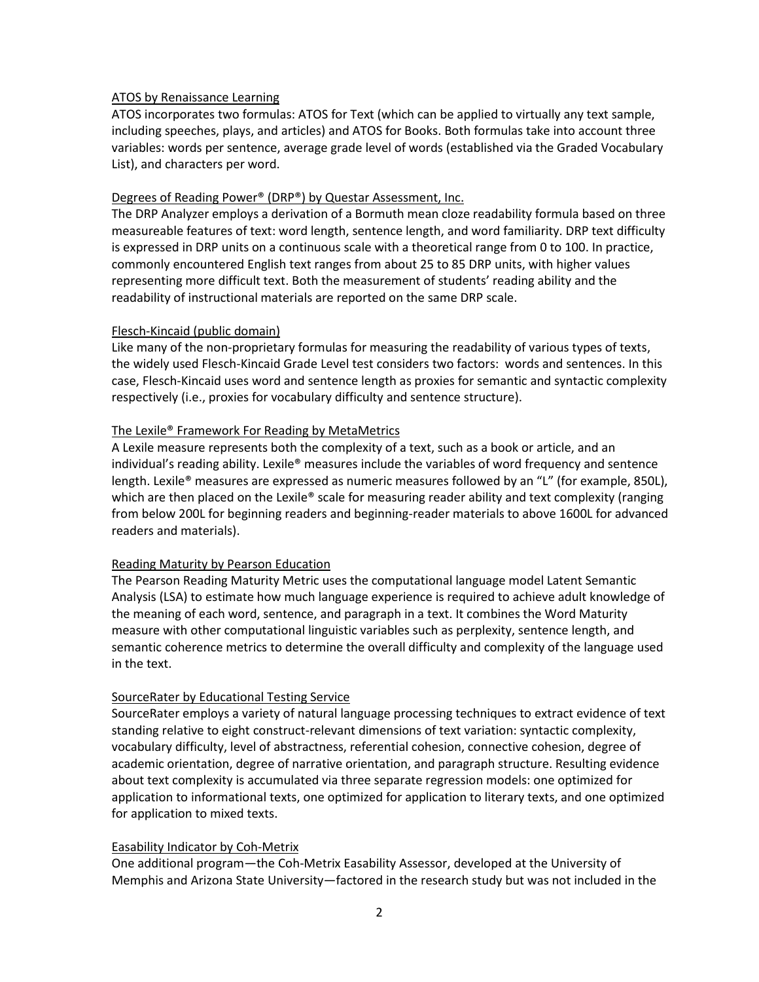### ATOS by Renaissance Learning

ATOS incorporates two formulas: ATOS for Text (which can be applied to virtually any text sample, including speeches, plays, and articles) and ATOS for Books. Both formulas take into account three variables: words per sentence, average grade level of words (established via the Graded Vocabulary List), and characters per word.

#### Degrees of Reading Power® (DRP®) by Questar Assessment, Inc.

The DRP Analyzer employs a derivation of a Bormuth mean cloze readability formula based on three measureable features of text: word length, sentence length, and word familiarity. DRP text difficulty is expressed in DRP units on a continuous scale with a theoretical range from 0 to 100. In practice, commonly encountered English text ranges from about 25 to 85 DRP units, with higher values representing more difficult text. Both the measurement of students' reading ability and the readability of instructional materials are reported on the same DRP scale.

#### Flesch-Kincaid (public domain)

Like many of the non-proprietary formulas for measuring the readability of various types of texts, the widely used Flesch-Kincaid Grade Level test considers two factors: words and sentences. In this case, Flesch-Kincaid uses word and sentence length as proxies for semantic and syntactic complexity respectively (i.e., proxies for vocabulary difficulty and sentence structure).

#### The Lexile® Framework For Reading by MetaMetrics

A Lexile measure represents both the complexity of a text, such as a book or article, and an individual's reading ability. Lexile® measures include the variables of word frequency and sentence length. Lexile<sup>®</sup> measures are expressed as numeric measures followed by an "L" (for example, 850L), which are then placed on the Lexile® scale for measuring reader ability and text complexity (ranging from below 200L for beginning readers and beginning-reader materials to above 1600L for advanced readers and materials).

## Reading Maturity by Pearson Education

The Pearson Reading Maturity Metric uses the computational language model Latent Semantic Analysis (LSA) to estimate how much language experience is required to achieve adult knowledge of the meaning of each word, sentence, and paragraph in a text. It combines the Word Maturity measure with other computational linguistic variables such as perplexity, sentence length, and semantic coherence metrics to determine the overall difficulty and complexity of the language used in the text.

## SourceRater by Educational Testing Service

SourceRater employs a variety of natural language processing techniques to extract evidence of text standing relative to eight construct-relevant dimensions of text variation: syntactic complexity, vocabulary difficulty, level of abstractness, referential cohesion, connective cohesion, degree of academic orientation, degree of narrative orientation, and paragraph structure. Resulting evidence about text complexity is accumulated via three separate regression models: one optimized for application to informational texts, one optimized for application to literary texts, and one optimized for application to mixed texts.

#### Easability Indicator by Coh-Metrix

One additional program—the Coh-Metrix Easability Assessor, developed at the University of Memphis and Arizona State University—factored in the research study but was not included in the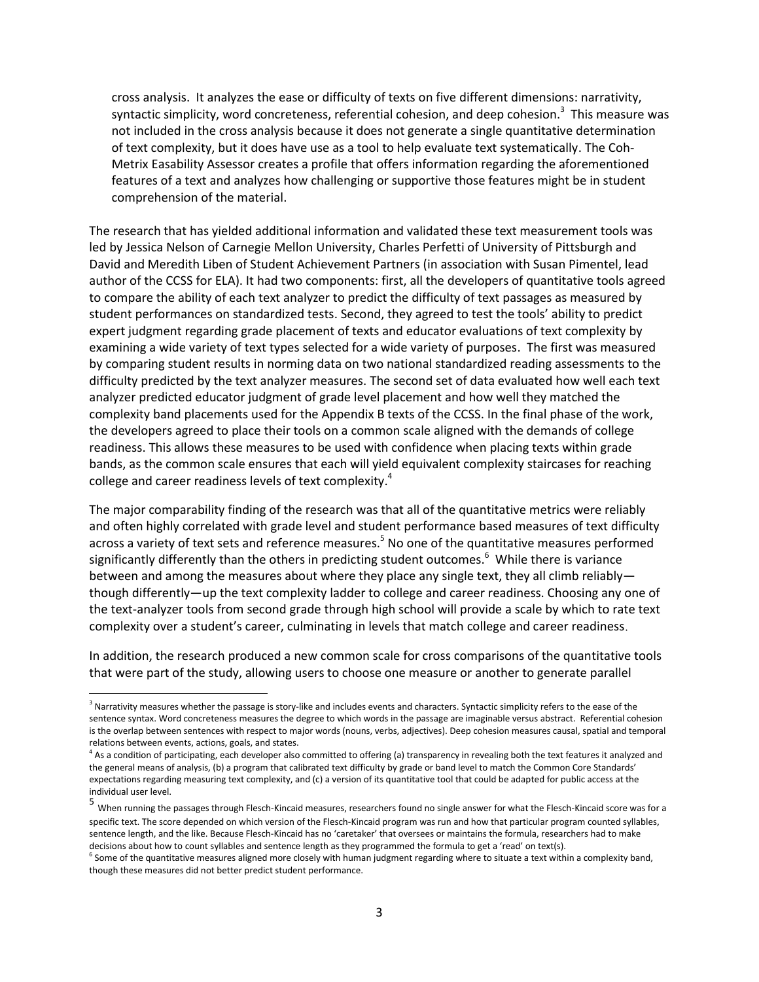cross analysis. It analyzes the ease or difficulty of texts on five different dimensions: narrativity, syntactic simplicity, word concreteness, referential cohesion, and deep cohesion.<sup>3</sup> This measure was not included in the cross analysis because it does not generate a single quantitative determination of text complexity, but it does have use as a tool to help evaluate text systematically. The Coh-Metrix Easability Assessor creates a profile that offers information regarding the aforementioned features of a text and analyzes how challenging or supportive those features might be in student comprehension of the material.

The research that has yielded additional information and validated these text measurement tools was led by Jessica Nelson of Carnegie Mellon University, Charles Perfetti of University of Pittsburgh and David and Meredith Liben of Student Achievement Partners (in association with Susan Pimentel, lead author of the CCSS for ELA). It had two components: first, all the developers of quantitative tools agreed to compare the ability of each text analyzer to predict the difficulty of text passages as measured by student performances on standardized tests. Second, they agreed to test the tools' ability to predict expert judgment regarding grade placement of texts and educator evaluations of text complexity by examining a wide variety of text types selected for a wide variety of purposes. The first was measured by comparing student results in norming data on two national standardized reading assessments to the difficulty predicted by the text analyzer measures. The second set of data evaluated how well each text analyzer predicted educator judgment of grade level placement and how well they matched the complexity band placements used for the Appendix B texts of the CCSS. In the final phase of the work, the developers agreed to place their tools on a common scale aligned with the demands of college readiness. This allows these measures to be used with confidence when placing texts within grade bands, as the common scale ensures that each will yield equivalent complexity staircases for reaching college and career readiness levels of text complexity.<sup>4</sup>

The major comparability finding of the research was that all of the quantitative metrics were reliably and often highly correlated with grade level and student performance based measures of text difficulty across a variety of text sets and reference measures.<sup>5</sup> No one of the quantitative measures performed significantly differently than the others in predicting student outcomes.<sup>6</sup> While there is variance between and among the measures about where they place any single text, they all climb reliably though differently—up the text complexity ladder to college and career readiness. Choosing any one of the text-analyzer tools from second grade through high school will provide a scale by which to rate text complexity over a student's career, culminating in levels that match college and career readiness.

In addition, the research produced a new common scale for cross comparisons of the quantitative tools that were part of the study, allowing users to choose one measure or another to generate parallel

 $\overline{\phantom{a}}$ 

 $^3$  Narrativity measures whether the passage is story-like and includes events and characters. Syntactic simplicity refers to the ease of the sentence syntax. Word concreteness measures the degree to which words in the passage are imaginable versus abstract. Referential cohesion is the overlap between sentences with respect to major words (nouns, verbs, adjectives). Deep cohesion measures causal, spatial and temporal relations between events, actions, goals, and states.

<sup>&</sup>lt;sup>4</sup> As a condition of participating, each developer also committed to offering (a) transparency in revealing both the text features it analyzed and the general means of analysis, (b) a program that calibrated text difficulty by grade or band level to match the Common Core Standards' expectations regarding measuring text complexity, and (c) a version of its quantitative tool that could be adapted for public access at the individual user level.

<sup>5</sup> When running the passages through Flesch-Kincaid measures, researchers found no single answer for what the Flesch-Kincaid score was for a specific text. The score depended on which version of the Flesch-Kincaid program was run and how that particular program counted syllables, sentence length, and the like. Because Flesch-Kincaid has no 'caretaker' that oversees or maintains the formula, researchers had to make decisions about how to count syllables and sentence length as they programmed the formula to get a 'read' on text(s).

<sup>&</sup>lt;sup>6</sup> Some of the quantitative measures aligned more closely with human judgment regarding where to situate a text within a complexity band, though these measures did not better predict student performance.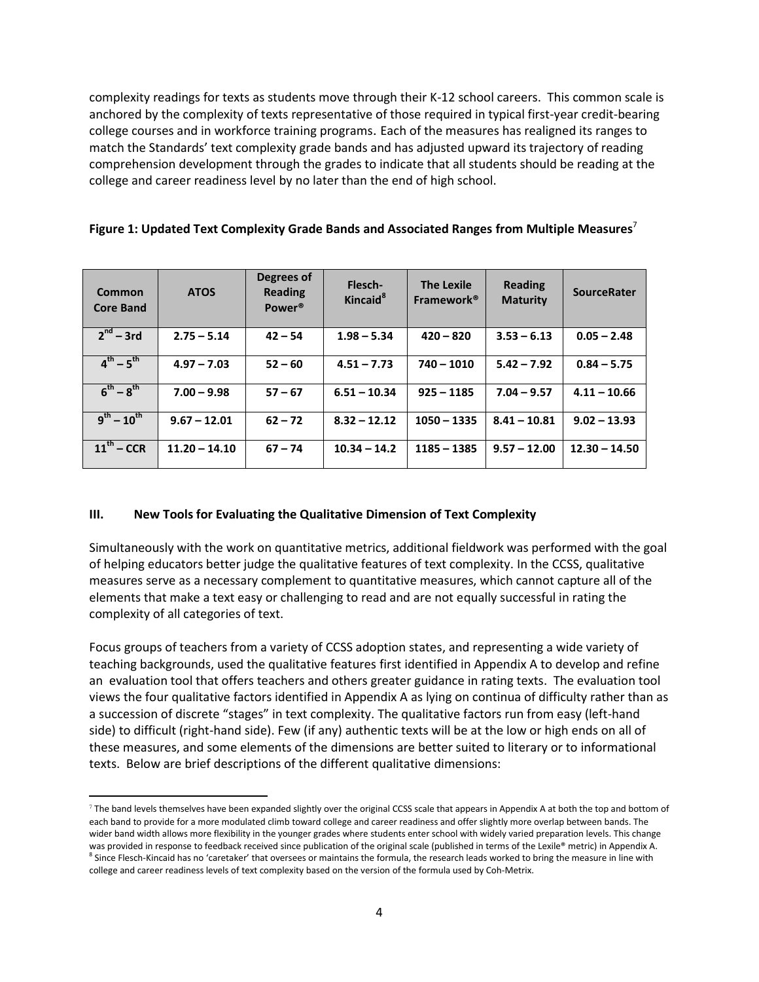complexity readings for texts as students move through their K-12 school careers. This common scale is anchored by the complexity of texts representative of those required in typical first-year credit-bearing college courses and in workforce training programs. Each of the measures has realigned its ranges to match the Standards' text complexity grade bands and has adjusted upward its trajectory of reading comprehension development through the grades to indicate that all students should be reading at the college and career readiness level by no later than the end of high school.

| Common<br><b>Core Band</b> | <b>ATOS</b>     | Degrees of<br><b>Reading</b><br>Power <sup>®</sup> | Flesch-<br>Kincaid <sup>8</sup> | <b>The Lexile</b><br><b>Framework®</b> | Reading<br><b>Maturity</b> | <b>SourceRater</b> |
|----------------------------|-----------------|----------------------------------------------------|---------------------------------|----------------------------------------|----------------------------|--------------------|
| $2nd - 3rd$                | $2.75 - 5.14$   | $42 - 54$                                          | $1.98 - 5.34$                   | $420 - 820$                            | $3.53 - 6.13$              | $0.05 - 2.48$      |
| $4^{th} - 5^{th}$          | $4.97 - 7.03$   | $52 - 60$                                          | $4.51 - 7.73$                   | $740 - 1010$                           | $5.42 - 7.92$              | $0.84 - 5.75$      |
| $6^{th} - 8^{th}$          | $7.00 - 9.98$   | $57 - 67$                                          | $6.51 - 10.34$                  | $925 - 1185$                           | $7.04 - 9.57$              | $4.11 - 10.66$     |
| $9^{th} - 10^{th}$         | $9.67 - 12.01$  | $62 - 72$                                          | $8.32 - 12.12$                  | $1050 - 1335$                          | $8.41 - 10.81$             | $9.02 - 13.93$     |
| $11^{th}$ – CCR            | $11.20 - 14.10$ | $67 - 74$                                          | $10.34 - 14.2$                  | $1185 - 1385$                          | $9.57 - 12.00$             | $12.30 - 14.50$    |

### **Figure 1: Updated Text Complexity Grade Bands and Associated Ranges from Multiple Measures**

#### **III. New Tools for Evaluating the Qualitative Dimension of Text Complexity**

 $\overline{a}$ 

Simultaneously with the work on quantitative metrics, additional fieldwork was performed with the goal of helping educators better judge the qualitative features of text complexity. In the CCSS, qualitative measures serve as a necessary complement to quantitative measures, which cannot capture all of the elements that make a text easy or challenging to read and are not equally successful in rating the complexity of all categories of text.

Focus groups of teachers from a variety of CCSS adoption states, and representing a wide variety of teaching backgrounds, used the qualitative features first identified in Appendix A to develop and refine an evaluation tool that offers teachers and others greater guidance in rating texts. The evaluation tool views the four qualitative factors identified in Appendix A as lying on continua of difficulty rather than as a succession of discrete "stages" in text complexity. The qualitative factors run from easy (left-hand side) to difficult (right-hand side). Few (if any) authentic texts will be at the low or high ends on all of these measures, and some elements of the dimensions are better suited to literary or to informational texts. Below are brief descriptions of the different qualitative dimensions:

<sup>7</sup> The band levels themselves have been expanded slightly over the original CCSS scale that appears in Appendix A at both the top and bottom of each band to provide for a more modulated climb toward college and career readiness and offer slightly more overlap between bands. The wider band width allows more flexibility in the younger grades where students enter school with widely varied preparation levels. This change was provided in response to feedback received since publication of the original scale (published in terms of the Lexile® metric) in Appendix A.  $^8$  Since Flesch-Kincaid has no 'caretaker' that oversees or maintains the formula, the research leads worked to bring the measure in line with college and career readiness levels of text complexity based on the version of the formula used by Coh-Metrix.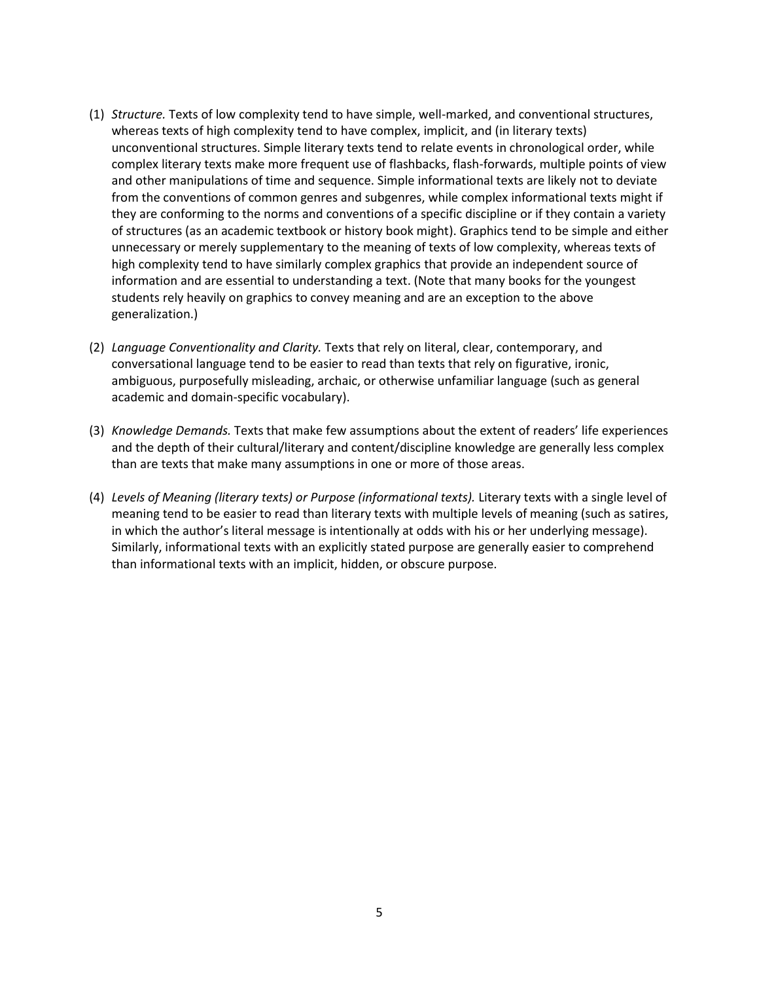- (1) *Structure.* Texts of low complexity tend to have simple, well-marked, and conventional structures, whereas texts of high complexity tend to have complex, implicit, and (in literary texts) unconventional structures. Simple literary texts tend to relate events in chronological order, while complex literary texts make more frequent use of flashbacks, flash-forwards, multiple points of view and other manipulations of time and sequence. Simple informational texts are likely not to deviate from the conventions of common genres and subgenres, while complex informational texts might if they are conforming to the norms and conventions of a specific discipline or if they contain a variety of structures (as an academic textbook or history book might). Graphics tend to be simple and either unnecessary or merely supplementary to the meaning of texts of low complexity, whereas texts of high complexity tend to have similarly complex graphics that provide an independent source of information and are essential to understanding a text. (Note that many books for the youngest students rely heavily on graphics to convey meaning and are an exception to the above generalization.)
- (2) *Language Conventionality and Clarity.* Texts that rely on literal, clear, contemporary, and conversational language tend to be easier to read than texts that rely on figurative, ironic, ambiguous, purposefully misleading, archaic, or otherwise unfamiliar language (such as general academic and domain-specific vocabulary).
- (3) *Knowledge Demands.* Texts that make few assumptions about the extent of readers' life experiences and the depth of their cultural/literary and content/discipline knowledge are generally less complex than are texts that make many assumptions in one or more of those areas.
- (4) *Levels of Meaning (literary texts) or Purpose (informational texts).* Literary texts with a single level of meaning tend to be easier to read than literary texts with multiple levels of meaning (such as satires, in which the author's literal message is intentionally at odds with his or her underlying message). Similarly, informational texts with an explicitly stated purpose are generally easier to comprehend than informational texts with an implicit, hidden, or obscure purpose.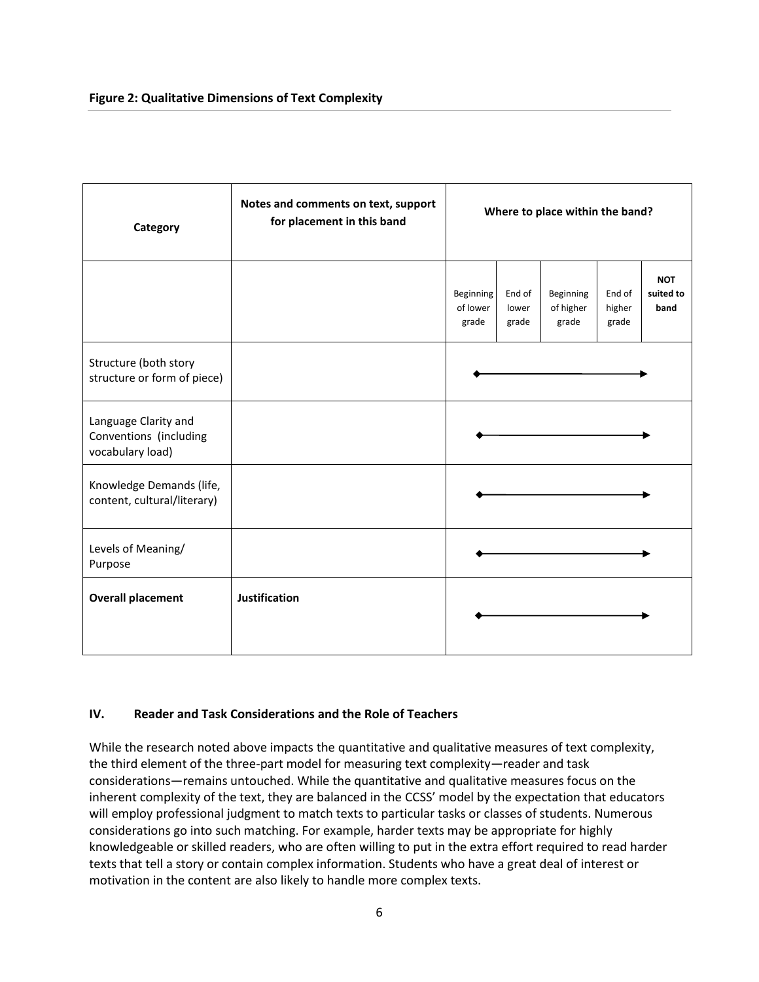| Category                                                           | Notes and comments on text, support<br>for placement in this band | Where to place within the band? |                          |                                 |                           |                                 |
|--------------------------------------------------------------------|-------------------------------------------------------------------|---------------------------------|--------------------------|---------------------------------|---------------------------|---------------------------------|
|                                                                    |                                                                   | Beginning<br>of lower<br>grade  | End of<br>lower<br>grade | Beginning<br>of higher<br>grade | End of<br>higher<br>grade | <b>NOT</b><br>suited to<br>band |
| Structure (both story<br>structure or form of piece)               |                                                                   |                                 |                          |                                 |                           |                                 |
| Language Clarity and<br>Conventions (including<br>vocabulary load) |                                                                   |                                 |                          |                                 |                           |                                 |
| Knowledge Demands (life,<br>content, cultural/literary)            |                                                                   |                                 |                          |                                 |                           |                                 |
| Levels of Meaning/<br>Purpose                                      |                                                                   |                                 |                          |                                 |                           |                                 |
| <b>Overall placement</b>                                           | <b>Justification</b>                                              |                                 |                          |                                 |                           |                                 |

## **IV. Reader and Task Considerations and the Role of Teachers**

While the research noted above impacts the quantitative and qualitative measures of text complexity, the third element of the three-part model for measuring text complexity—reader and task considerations—remains untouched. While the quantitative and qualitative measures focus on the inherent complexity of the text, they are balanced in the CCSS' model by the expectation that educators will employ professional judgment to match texts to particular tasks or classes of students. Numerous considerations go into such matching. For example, harder texts may be appropriate for highly knowledgeable or skilled readers, who are often willing to put in the extra effort required to read harder texts that tell a story or contain complex information. Students who have a great deal of interest or motivation in the content are also likely to handle more complex texts.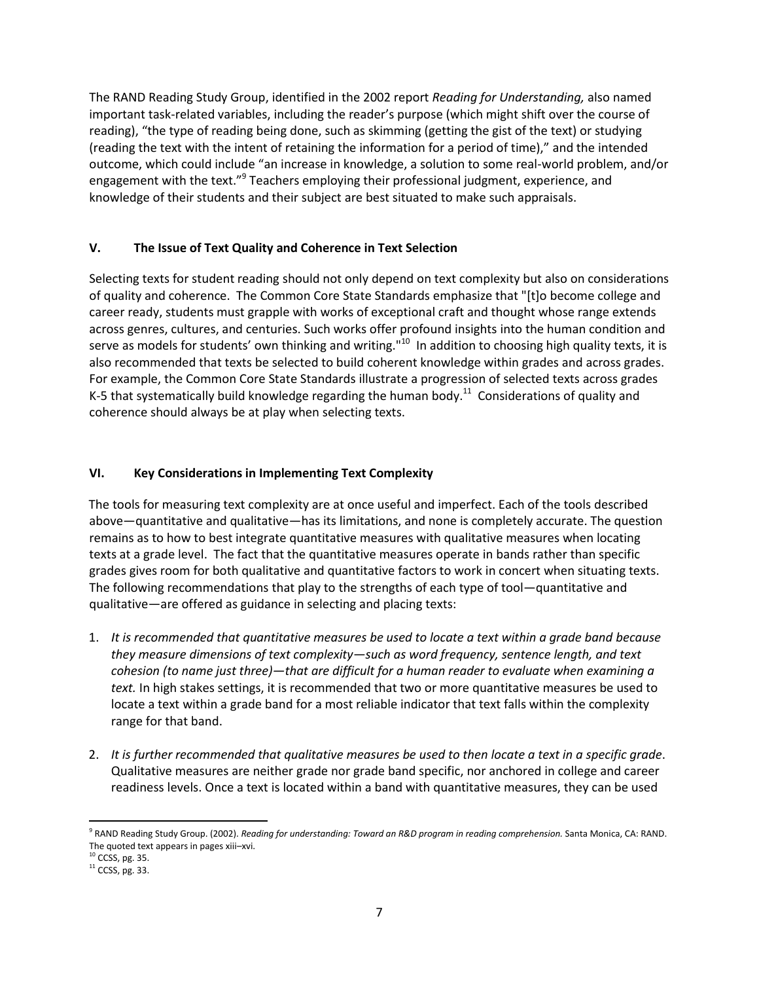The RAND Reading Study Group, identified in the 2002 report *Reading for Understanding,* also named important task-related variables, including the reader's purpose (which might shift over the course of reading), "the type of reading being done, such as skimming (getting the gist of the text) or studying (reading the text with the intent of retaining the information for a period of time)," and the intended outcome, which could include "an increase in knowledge, a solution to some real-world problem, and/or engagement with the text."<sup>9</sup> Teachers employing their professional judgment, experience, and knowledge of their students and their subject are best situated to make such appraisals.

## **V. The Issue of Text Quality and Coherence in Text Selection**

Selecting texts for student reading should not only depend on text complexity but also on considerations of quality and coherence. The Common Core State Standards emphasize that "[t]o become college and career ready, students must grapple with works of exceptional craft and thought whose range extends across genres, cultures, and centuries. Such works offer profound insights into the human condition and serve as models for students' own thinking and writing."<sup>10</sup> In addition to choosing high quality texts, it is also recommended that texts be selected to build coherent knowledge within grades and across grades. For example, the Common Core State Standards illustrate a progression of selected texts across grades K-5 that systematically build knowledge regarding the human body.<sup>11</sup> Considerations of quality and coherence should always be at play when selecting texts.

## **VI. Key Considerations in Implementing Text Complexity**

The tools for measuring text complexity are at once useful and imperfect. Each of the tools described above—quantitative and qualitative—has its limitations, and none is completely accurate. The question remains as to how to best integrate quantitative measures with qualitative measures when locating texts at a grade level. The fact that the quantitative measures operate in bands rather than specific grades gives room for both qualitative and quantitative factors to work in concert when situating texts. The following recommendations that play to the strengths of each type of tool—quantitative and qualitative—are offered as guidance in selecting and placing texts:

- 1. *It is recommended that quantitative measures be used to locate a text within a grade band because they measure dimensions of text complexity—such as word frequency, sentence length, and text cohesion (to name just three)—that are difficult for a human reader to evaluate when examining a text.* In high stakes settings, it is recommended that two or more quantitative measures be used to locate a text within a grade band for a most reliable indicator that text falls within the complexity range for that band.
- 2. *It is further recommended that qualitative measures be used to then locate a text in a specific grade*. Qualitative measures are neither grade nor grade band specific, nor anchored in college and career readiness levels. Once a text is located within a band with quantitative measures, they can be used

 $\overline{\phantom{a}}$ 

<sup>9</sup> RAND Reading Study Group. (2002). *Reading for understanding: Toward an R&D program in reading comprehension.* Santa Monica, CA: RAND. The quoted text appears in pages xiii–xvi.

 $10$  CCSS, pg. 35.

 $11$  CCSS, pg. 33.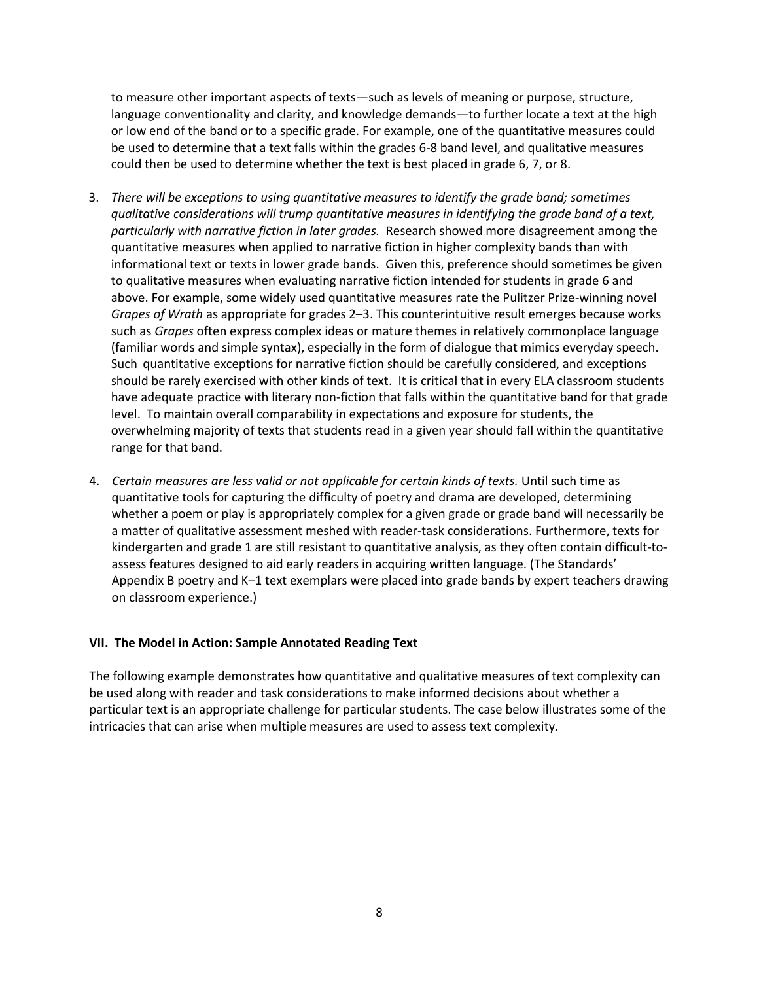to measure other important aspects of texts—such as levels of meaning or purpose, structure, language conventionality and clarity, and knowledge demands—to further locate a text at the high or low end of the band or to a specific grade. For example, one of the quantitative measures could be used to determine that a text falls within the grades 6-8 band level, and qualitative measures could then be used to determine whether the text is best placed in grade 6, 7, or 8.

- 3. *There will be exceptions to using quantitative measures to identify the grade band; sometimes qualitative considerations will trump quantitative measures in identifying the grade band of a text, particularly with narrative fiction in later grades.* Research showed more disagreement among the quantitative measures when applied to narrative fiction in higher complexity bands than with informational text or texts in lower grade bands. Given this, preference should sometimes be given to qualitative measures when evaluating narrative fiction intended for students in grade 6 and above. For example, some widely used quantitative measures rate the Pulitzer Prize-winning novel *Grapes of Wrath* as appropriate for grades 2–3. This counterintuitive result emerges because works such as *Grapes* often express complex ideas or mature themes in relatively commonplace language (familiar words and simple syntax), especially in the form of dialogue that mimics everyday speech. Such quantitative exceptions for narrative fiction should be carefully considered, and exceptions should be rarely exercised with other kinds of text. It is critical that in every ELA classroom students have adequate practice with literary non-fiction that falls within the quantitative band for that grade level. To maintain overall comparability in expectations and exposure for students, the overwhelming majority of texts that students read in a given year should fall within the quantitative range for that band.
- 4. *Certain measures are less valid or not applicable for certain kinds of texts.* Until such time as quantitative tools for capturing the difficulty of poetry and drama are developed, determining whether a poem or play is appropriately complex for a given grade or grade band will necessarily be a matter of qualitative assessment meshed with reader-task considerations. Furthermore, texts for kindergarten and grade 1 are still resistant to quantitative analysis, as they often contain difficult-toassess features designed to aid early readers in acquiring written language. (The Standards' Appendix B poetry and K–1 text exemplars were placed into grade bands by expert teachers drawing on classroom experience.)

## **VII. The Model in Action: Sample Annotated Reading Text**

The following example demonstrates how quantitative and qualitative measures of text complexity can be used along with reader and task considerations to make informed decisions about whether a particular text is an appropriate challenge for particular students. The case below illustrates some of the intricacies that can arise when multiple measures are used to assess text complexity.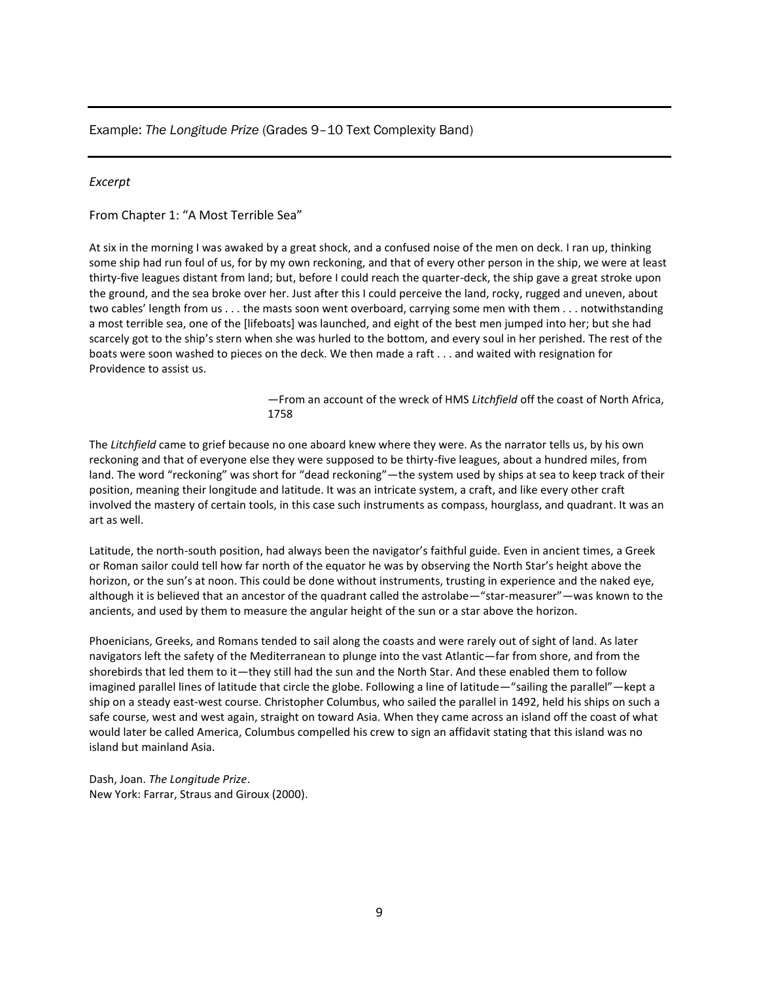Example: *The Longitude Prize* (Grades 9–10 Text Complexity Band)

#### *Excerpt*

From Chapter 1: "A Most Terrible Sea"

At six in the morning I was awaked by a great shock, and a confused noise of the men on deck. I ran up, thinking some ship had run foul of us, for by my own reckoning, and that of every other person in the ship, we were at least thirty-five leagues distant from land; but, before I could reach the quarter-deck, the ship gave a great stroke upon the ground, and the sea broke over her. Just after this I could perceive the land, rocky, rugged and uneven, about two cables' length from us . . . the masts soon went overboard, carrying some men with them . . . notwithstanding a most terrible sea, one of the [lifeboats] was launched, and eight of the best men jumped into her; but she had scarcely got to the ship's stern when she was hurled to the bottom, and every soul in her perished. The rest of the boats were soon washed to pieces on the deck. We then made a raft . . . and waited with resignation for Providence to assist us.

> —From an account of the wreck of HMS *Litchfield* off the coast of North Africa, 1758

The *Litchfield* came to grief because no one aboard knew where they were. As the narrator tells us, by his own reckoning and that of everyone else they were supposed to be thirty-five leagues, about a hundred miles, from land. The word "reckoning" was short for "dead reckoning"—the system used by ships at sea to keep track of their position, meaning their longitude and latitude. It was an intricate system, a craft, and like every other craft involved the mastery of certain tools, in this case such instruments as compass, hourglass, and quadrant. It was an art as well.

Latitude, the north-south position, had always been the navigator's faithful guide. Even in ancient times, a Greek or Roman sailor could tell how far north of the equator he was by observing the North Star's height above the horizon, or the sun's at noon. This could be done without instruments, trusting in experience and the naked eye, although it is believed that an ancestor of the quadrant called the astrolabe—"star-measurer"—was known to the ancients, and used by them to measure the angular height of the sun or a star above the horizon.

Phoenicians, Greeks, and Romans tended to sail along the coasts and were rarely out of sight of land. As later navigators left the safety of the Mediterranean to plunge into the vast Atlantic—far from shore, and from the shorebirds that led them to it—they still had the sun and the North Star. And these enabled them to follow imagined parallel lines of latitude that circle the globe. Following a line of latitude—"sailing the parallel"—kept a ship on a steady east-west course. Christopher Columbus, who sailed the parallel in 1492, held his ships on such a safe course, west and west again, straight on toward Asia. When they came across an island off the coast of what would later be called America, Columbus compelled his crew to sign an affidavit stating that this island was no island but mainland Asia.

Dash, Joan. *The Longitude Prize*. New York: Farrar, Straus and Giroux (2000).